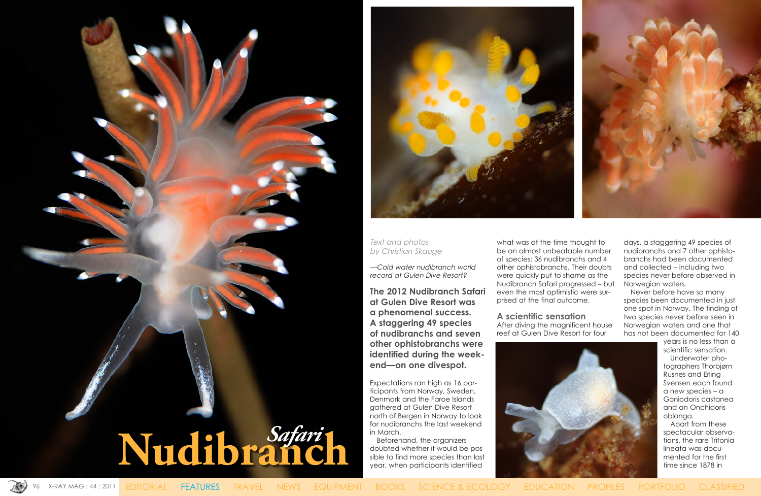96 X-RAY MAG : 44 : 2011 EDITORIAL FEATURES TRAVEL NEWS EQUIPMENT BOOKS SCIENCE & ECOLOGY EDUCATION PROFILES PORTFOLIO CLASSIFIED







# Text and photos by Christian Skauge

—Cold water nudibranch world record at Gulen Dive Resort?

**The 2012 Nudibranch Safari at Gulen Dive Resort was a phenomenal success. A staggering 49 species of nudibranchs and seven other ophistobranchs were identified during the weekend—on one divespot.**

Expectations ran high as 16 participants from Norway, Sweden, Denmark and the Faroe Islands gathered at Gulen Dive Resort north of Bergen in Norway to look for nudibranchs the last weekend in March.

Beforehand, the organizers doubted whether it would be possible to find more species than last year, when participants identified

what was at the time thought to be an almost unbeatable number of species: 36 nudibranchs and 4 other ophistobranchs. Their doubts were quickly put to shame as the Nudibranch Safari progressed – but even the most optimistic were surprised at the final outcome.

**A scientific sensation** After diving the magnificent house reef at Gulen Dive Resort for four





days, a staggering 49 species of nudibranchs and 7 other ophistobranchs had been documented and collected – including two species never before observed in Norwegian waters.

Never before have so many species been documented in just one spot in Norway. The finding of two species never before seen in Norwegian waters and one that has not been documented for 140

> years is no less than a scientific sensation.

Underwater photographers Thorbjørn Rusnes and Erling Svensen each found a new species – a Goniodoris castanea and an Onchidoris oblonga.

Apart from these spectacular observations, the rare Tritonia lineata was documented for the first time since 1878 in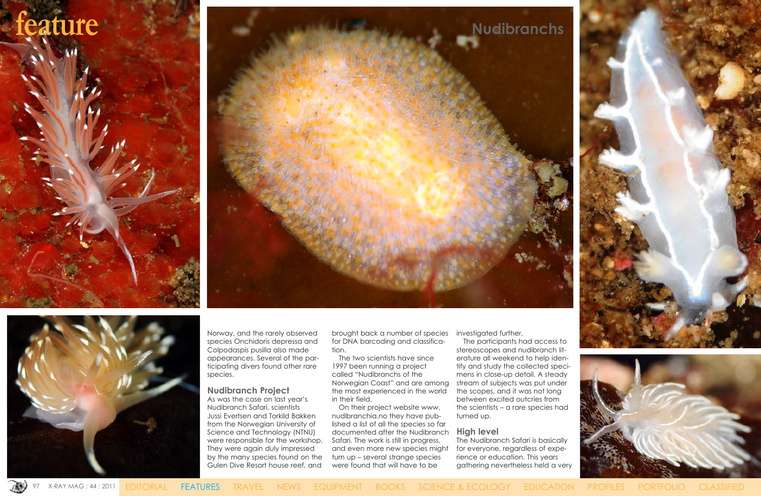

Norway, and the rarely observed species Onchidoris depressa and Colpodaspis pusilla also made appearances. Several of the participating divers found other rare species.

# **Nudibranch Project**

As was the case on last year's Nudibranch Safari, scientists Jussi Evertsen and Torkild Bakken from the Norwegian University of Science and Technology (NTNU) were responsible for the workshop. They were again duly impressed by the many species found on the Gulen Dive Resort house reef, and

brought back a number of species for DNA barcoding and classification.

The two scientists have since 1997 been running a project called "Nudibranchs of the Norwegian Coast" and are among the most experienced in the world in their field.

On their project website [www.](http://www.nudibranchia.no) [nudibranchia.no](http://www.nudibranchia.no) they have published a list of all the species so far documented after the Nudibranch Safari. The work is still in progress, and even more new species might turn up – several strange species were found that will have to be

investigated further.

The participants had access to stereoscopes and nudibranch literature all weekend to help identify and study the collected specimens in close-up detail. A steady stream of subjects was put under the scopes, and it was not long between excited outcries from the scientists – a rare species had turned up.

## **High level**

The Nudibranch Safari is basically for everyone, regardless of experience or education. This years gathering nevertheless held a very